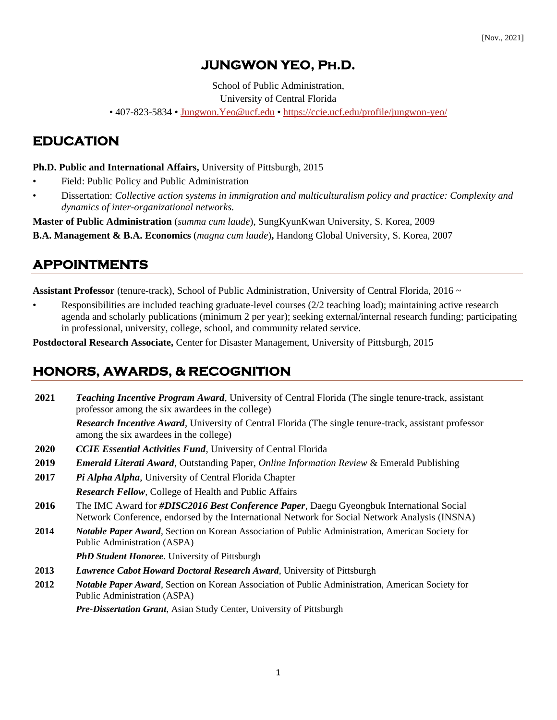# **JUNGWON YEO, Ph.D.**

School of Public Administration,

University of Central Florida

• 407-823-5834 • [Jungwon.Yeo@ucf.edu](mailto:Jungwon.Yeo@ucf.edu) • <https://ccie.ucf.edu/profile/jungwon-yeo/>

### **EDUCATION**

**Ph.D. Public and International Affairs,** University of Pittsburgh, 2015

- Field: Public Policy and Public Administration
- Dissertation: *Collective action systems in immigration and multiculturalism policy and practice: Complexity and dynamics of inter-organizational networks.*

**Master of Public Administration** (*summa cum laude*), SungKyunKwan University, S. Korea, 2009

**B.A. Management & B.A. Economics** (*magna cum laude*)**,** Handong Global University, S. Korea, 2007

## **APPOINTMENTS**

**Assistant Professor** (tenure-track), School of Public Administration, University of Central Florida, 2016 ~

• Responsibilities are included teaching graduate-level courses (2/2 teaching load); maintaining active research agenda and scholarly publications (minimum 2 per year); seeking external/internal research funding; participating in professional, university, college, school, and community related service.

**Postdoctoral Research Associate,** Center for Disaster Management, University of Pittsburgh, 2015

## **HONORS, AWARDS, & RECOGNITION**

**2021** *Teaching Incentive Program Award*, University of Central Florida (The single tenure-track, assistant professor among the six awardees in the college)

*Research Incentive Award*, University of Central Florida (The single tenure-track, assistant professor among the six awardees in the college)

- **2020** *CCIE Essential Activities Fund*, University of Central Florida
- **2019** *Emerald Literati Award*, Outstanding Paper, *Online Information Review* & Emerald Publishing
- **2017** *Pi Alpha Alpha*, University of Central Florida Chapter *Research Fellow*, College of Health and Public Affairs
- **2016** The IMC Award for *#DISC2016 Best Conference Paper*, Daegu Gyeongbuk International Social Network Conference, endorsed by the International Network for Social Network Analysis (INSNA)
- **2014** *Notable Paper Award*, Section on Korean Association of Public Administration, American Society for Public Administration (ASPA)

*PhD Student Honoree*. University of Pittsburgh

- **2013** *Lawrence Cabot Howard Doctoral Research Award*, University of Pittsburgh
- **2012** *Notable Paper Award*, Section on Korean Association of Public Administration, American Society for Public Administration (ASPA)

*Pre-Dissertation Grant*, Asian Study Center, University of Pittsburgh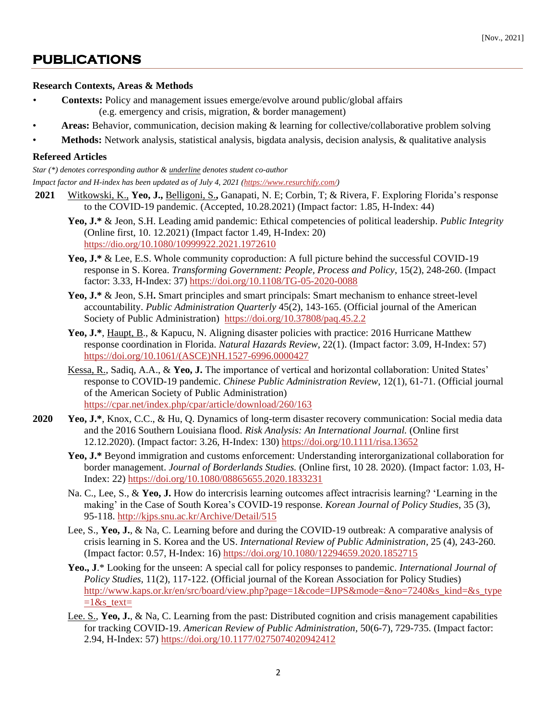### **PUBLICATIONS**

#### **Research Contexts, Areas & Methods**

- **Contexts:** Policy and management issues emerge/evolve around public/global affairs (e.g. emergency and crisis, migration, & border management)
- **Areas:** Behavior, communication, decision making & learning for collective/collaborative problem solving
- **Methods:** Network analysis, statistical analysis, bigdata analysis, decision analysis, & qualitative analysis

#### **Refereed Articles**

*Star (\*) denotes corresponding author & underline denotes student co-author*

*Impact factor and H-index has been updated as of July 4, 2021 [\(https://www.resurchify.com/\)](https://www.resurchify.com/)*

- **2021** Witkowski, K., **Yeo, J.,** Belligoni, S.**,** Ganapati, N. E; Corbin, T; & Rivera, F. Exploring Florida's response to the COVID-19 pandemic. (Accepted, 10.28.2021) (Impact factor: 1.85, H-Index: 44)
	- **Yeo, J.\*** & Jeon, S.H. Leading amid pandemic: Ethical competencies of political leadership. *Public Integrity* (Online first, 10. 12.2021) (Impact factor 1.49, H-Index: 20) https://dio.org/10.1080/10999922.2021.1972610
	- Yeo, **J.\*** & Lee, E.S. Whole community coproduction: A full picture behind the successful COVID-19 response in S. Korea. *Transforming Government: People, Process and Policy*, 15(2), 248-260. (Impact factor: 3.33, H-Index: 37)<https://doi.org/10.1108/TG-05-2020-0088>
	- Yeo, **J.\*** & Jeon, S.H. Smart principles and smart principals: Smart mechanism to enhance street-level accountability. *Public Administration Quarterly* 45(2), 143-165. (Official journal of the American Society of Public Administration) <https://doi.org/10.37808/paq.45.2.2>
	- Yeo, **J.\***, Haupt, B., & Kapucu, N. Aligning disaster policies with practice: 2016 Hurricane Matthew response coordination in Florida. *Natural Hazards Review*, 22(1). (Impact factor: 3.09, H-Index: 57) [https://doi.org/10.1061/\(ASCE\)NH.1527-6996.0000427](https://doi.org/10.1061/(ASCE)NH.1527-6996.0000427)
	- Kessa, R., Sadiq, A.A., & **Yeo, J.** The importance of vertical and horizontal collaboration: United States' response to COVID-19 pandemic. *Chinese Public Administration Review*, 12(1), 61-71. (Official journal of the American Society of Public Administration) <https://cpar.net/index.php/cpar/article/download/260/163>
- **2020 Yeo, J.\***, Knox, C.C., & Hu, Q. Dynamics of long-term disaster recovery communication: Social media data and the 2016 Southern Louisiana flood. *Risk Analysis: An International Journal.* (Online first 12.12.2020). (Impact factor: 3.26, H-Index: 130) <https://doi.org/10.1111/risa.13652>
	- **Yeo, J.\*** Beyond immigration and customs enforcement: Understanding interorganizational collaboration for border management. *Journal of Borderlands Studies.* (Online first, 10 28. 2020). (Impact factor: 1.03, H-Index: 22)<https://doi.org/10.1080/08865655.2020.1833231>
	- Na. C., Lee, S., & **Yeo, J.** How do intercrisis learning outcomes affect intracrisis learning? 'Learning in the making' in the Case of South Korea's COVID-19 response. *Korean Journal of Policy Studies*, 35 (3), 95-118.<http://kjps.snu.ac.kr/Archive/Detail/515>
	- Lee, S., **Yeo, J.**, & Na, C. Learning before and during the COVID-19 outbreak: A comparative analysis of crisis learning in S. Korea and the US. *International Review of Public Administration,* 25 (4), 243-260*.* (Impact factor: 0.57, H-Index: 16)<https://doi.org/10.1080/12294659.2020.1852715>
	- **Yeo., J**.\* Looking for the unseen: A special call for policy responses to pandemic. *International Journal of Policy Studies,* 11(2), 117-122. (Official journal of the Korean Association for Policy Studies) [http://www.kaps.or.kr/en/src/board/view.php?page=1&code=IJPS&mode=&no=7240&s\\_kind=&s\\_type](http://www.kaps.or.kr/en/src/board/view.php?page=1&code=IJPS&mode=&no=7240&s_kind=&s_type=1&s_text=)  $=1$ &s text=
	- Lee. S., **Yeo, J.**, & Na, C. Learning from the past: Distributed cognition and crisis management capabilities for tracking COVID-19. *American Review of Public Administration,* 50(6-7), 729-735. (Impact factor: 2.94, H-Index: 57)<https://doi.org/10.1177/0275074020942412>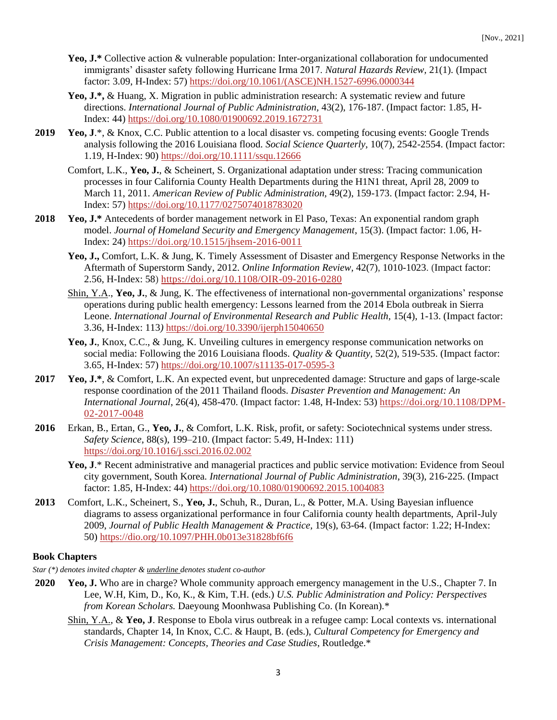- Yeo, **J.\*** Collective action & vulnerable population: Inter-organizational collaboration for undocumented immigrants' disaster safety following Hurricane Irma 2017. *Natural Hazards Review,* 21(1). (Impact factor: 3.09, H-Index: 57) [https://doi.org/10.1061/\(ASCE\)NH.1527-6996.0000344](https://doi.org/10.1061/(ASCE)NH.1527-6996.0000344)
- Yeo, **J.\***, & Huang, X. Migration in public administration research: A systematic review and future directions. *International Journal of Public Administration,* 43(2), 176-187. (Impact factor: 1.85, H-Index: 44)<https://doi.org/10.1080/01900692.2019.1672731>
- **2019 Yeo, J**.\*, & Knox, C.C. Public attention to a local disaster vs. competing focusing events: Google Trends analysis following the 2016 Louisiana flood. *Social Science Quarterly*, 10(7), 2542-2554. (Impact factor: 1.19, H-Index: 90) <https://doi.org/10.1111/ssqu.12666>
	- Comfort, L.K., **Yeo, J.**, & Scheinert, S. Organizational adaptation under stress: Tracing communication processes in four California County Health Departments during the H1N1 threat, April 28, 2009 to March 11, 2011. *American Review of Public Administration,* 49(2), 159-173. (Impact factor: 2.94, H-Index: 57) [https://doi.org/10.1177/0275074018783020](https://doi.org/10.1177%2F0275074018783020)
- **2018 Yeo, J.\*** Antecedents of border management network in El Paso, Texas: An exponential random graph model. *Journal of Homeland Security and Emergency Management*, 15(3). (Impact factor: 1.06, H-Index: 24)<https://doi.org/10.1515/jhsem-2016-0011>
	- **Yeo, J.,** Comfort, L.K. & Jung, K. Timely Assessment of Disaster and Emergency Response Networks in the Aftermath of Superstorm Sandy, 2012. *Online Information Review,* 42(7), 1010-1023. (Impact factor: 2.56, H-Index: 58)<https://doi.org/10.1108/OIR-09-2016-0280>
	- Shin, Y.A., **Yeo, J.**, & Jung, K. The effectiveness of international non-governmental organizations' response operations during public health emergency: Lessons learned from the 2014 Ebola outbreak in Sierra Leone. *International Journal of Environmental Research and Public Health,* 15(4), 1-13. (Impact factor: 3.36, H-Index: 113*)* <https://doi.org/10.3390/ijerph15040650>
	- **Yeo, J.**, Knox, C.C., & Jung, K. Unveiling cultures in emergency response communication networks on social media: Following the 2016 Louisiana floods. *Quality & Quantity,* 52(2), 519-535. (Impact factor: 3.65, H-Index: 57)<https://doi.org/10.1007/s11135-017-0595-3>
- **2017 Yeo, J.\***, & Comfort, L.K. An expected event, but unprecedented damage: Structure and gaps of large-scale response coordination of the 2011 Thailand floods. *Disaster Prevention and Management: An International Journal*, 26(4), 458-470. (Impact factor: 1.48, H-Index: 53) [https://doi.org/10.1108/DPM-](https://doi.org/10.1108/DPM-02-2017-0048)[02-2017-0048](https://doi.org/10.1108/DPM-02-2017-0048)
- **2016** Erkan, B., Ertan, G., **Yeo, J.**, & Comfort, L.K. Risk, profit, or safety: Sociotechnical systems under stress. *Safety Science*, 88(s), 199–210. (Impact factor: 5.49, H-Index: 111) <https://doi.org/10.1016/j.ssci.2016.02.002>
	- **Yeo, J**.\* Recent administrative and managerial practices and public service motivation: Evidence from Seoul city government, South Korea. *International Journal of Public Administration*, 39(3), 216-225. (Impact factor: 1.85, H-Index: 44)<https://doi.org/10.1080/01900692.2015.1004083>
- **2013** Comfort, L.K., [Scheinert,](http://www.researchgate.net/researcher/2007316431_Steve_Scheinert) S., **[Yeo,](http://www.researchgate.net/researcher/2007379999_Jungwon_Yeo) J.**, [Schuh,](http://www.researchgate.net/researcher/72988771_Russell_Schuh) R., [Duran,](http://www.researchgate.net/researcher/74018637_Luis_Duran) L., & [Potter,](http://www.researchgate.net/researcher/38174602_Margaret_A_Potter) M.A. Using Bayesian influence diagrams to assess organizational performance in four California county health departments, April-July 2009, *Journal of Public Health Management & Practice,* 19(s), 63-64. (Impact factor: 1.22; H-Index: 50) https://dio.org[/10.1097/PHH.0b013e31828bf6f6](https://doi.org/10.1097/phh.0b013e31828bf6f6)

#### **Book Chapters**

*Star (\*) denotes invited chapter & underline denotes student co-author*

- **2020 Yeo, J.** Who are in charge? Whole community approach emergency management in the U.S., Chapter 7. In Lee, W.H, Kim, D., Ko, K., & Kim, T.H. (eds.) *U.S. Public Administration and Policy: Perspectives from Korean Scholars.* Daeyoung Moonhwasa Publishing Co. (In Korean).\*
	- Shin, Y.A., & **Yeo, J**. Response to Ebola virus outbreak in a refugee camp: Local contexts vs. international standards, Chapter 14, In Knox, C.C. & Haupt, B. (eds.), *Cultural Competency for Emergency and Crisis Management: Concepts, Theories and Case Studies*, Routledge.\*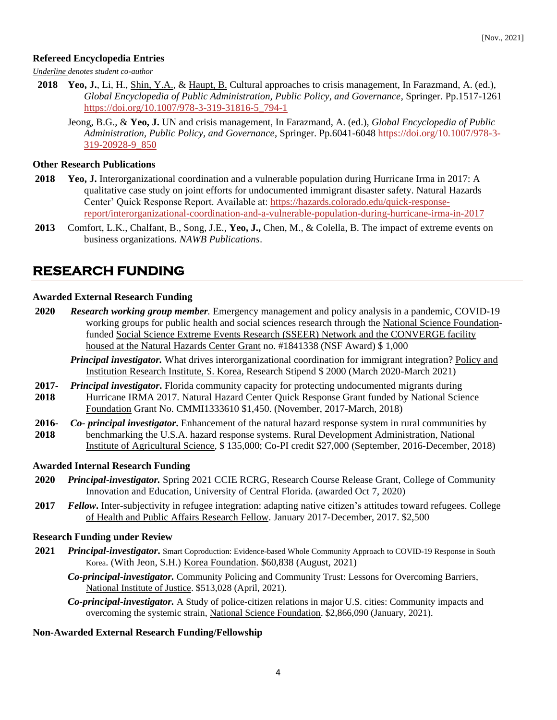#### **Refereed Encyclopedia Entries**

*Underline denotes student co-author*

- **2018 Yeo, J.**, Li, H., Shin, Y.A., & Haupt, B. Cultural approaches to crisis management, In Farazmand, A. (ed.), *Global Encyclopedia of Public Administration, Public Policy, and Governance*, Springer. Pp.1517-1261 [https://doi.org/10.1007/978-3-319-31816-5\\_794-1](https://doi.org/10.1007/978-3-319-31816-5_794-1)
	- Jeong, B.G., & **Yeo, J.** UN and crisis management, In Farazmand, A. (ed.), *Global Encyclopedia of Public Administration, Public Policy, and Governance*, Springer. Pp.6041-604[8 https://doi.org/10.1007/978-3-](https://doi.org/10.1007/978-3-319-20928-9_850) [319-20928-9\\_850](https://doi.org/10.1007/978-3-319-20928-9_850)

#### **Other Research Publications**

- **2018 Yeo, J.** Interorganizational coordination and a vulnerable population during Hurricane Irma in 2017: A qualitative case study on joint efforts for undocumented immigrant disaster safety. Natural Hazards Center' Quick Response Report. Available at: [https://hazards.colorado.edu/quick-response](https://hazards.colorado.edu/quick-response-report/interorganizational-coordination-and-a-vulnerable-population-during-hurricane-irma-in-2017)[report/interorganizational-coordination-and-a-vulnerable-population-during-hurricane-irma-in-2017](https://hazards.colorado.edu/quick-response-report/interorganizational-coordination-and-a-vulnerable-population-during-hurricane-irma-in-2017)
- **2013** Comfort, L.K., Chalfant, B., Song, J.E., **Yeo, J.,** Chen, M., & Colella, B. The impact of extreme events on business organizations. *NAWB Publications*.

### **RESEARCH FUNDING**

#### **Awarded External Research Funding**

- **2020** *Research working group member.* Emergency management and policy analysis in a pandemic, COVID-19 working groups for public health and social sciences research through the National Science Foundationfunded Social Science Extreme Events Research (SSEER) Network and the CONVERGE facility housed at the Natural Hazards Center Grant no. #1841338 (NSF Award) \$ 1,000
	- *Principal investigator.* What drives interorganizational coordination for immigrant integration? Policy and Institution Research Institute, S. Korea, Research Stipend \$ 2000 (March 2020-March 2021)
- **2017-** *Principal investigator***.** Florida community capacity for protecting undocumented migrants during
- **2018** Hurricane IRMA 2017. Natural Hazard Center Quick Response Grant funded by National Science Foundation Grant No. CMMI1333610 \$1,450. (November, 2017-March, 2018)
- **2016- 2018** *Co- principal investigator***.** Enhancement of the natural hazard response system in rural communities by benchmarking the U.S.A. hazard response systems. Rural Development Administration, National Institute of Agricultural Science, \$ 135,000; Co-PI credit \$27,000 (September, 2016-December, 2018)

#### **Awarded Internal Research Funding**

- **2020** *Principal-investigator.* Spring 2021 CCIE RCRG, Research Course Release Grant, College of Community Innovation and Education, University of Central Florida. (awarded Oct 7, 2020)
- **2017** *Fellow***.** Inter-subjectivity in refugee integration: adapting native citizen's attitudes toward refugees. College of Health and Public Affairs Research Fellow. January 2017-December, 2017. \$2,500

#### **Research Funding under Review**

- 2021 *Principal-investigator*. Smart Coproduction: Evidence-based Whole Community Approach to COVID-19 Response in South Korea. (With Jeon, S.H.) Korea Foundation. \$60,838 (August, 2021)
	- *Co-principal-investigator.* Community Policing and Community Trust: Lessons for Overcoming Barriers, National Institute of Justice. \$513,028 (April, 2021).
	- *Co-principal-investigator.* A Study of police-citizen relations in major U.S. cities: Community impacts and overcoming the systemic strain, National Science Foundation. \$2,866,090 (January, 2021).

#### **Non-Awarded External Research Funding/Fellowship**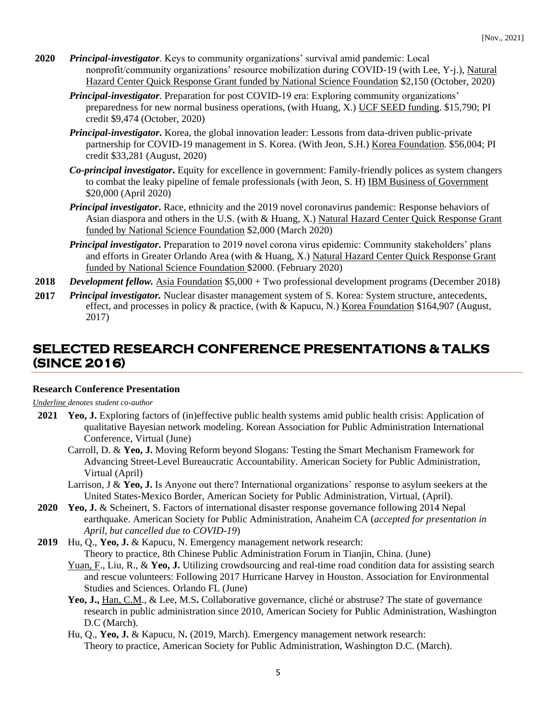- **2020** *Principal-investigator*. Keys to community organizations' survival amid pandemic: Local nonprofit/community organizations' resource mobilization during COVID-19 (with Lee, Y-j.), Natural Hazard Center Quick Response Grant funded by National Science Foundation \$2,150 (October, 2020)
	- *Principal-investigator*. Preparation for post COVID-19 era: Exploring community organizations' preparedness for new normal business operations, (with Huang, X.) UCF SEED funding. \$15,790; PI credit \$9,474 (October, 2020)
	- *Principal-investigator***.** Korea, the global innovation leader: Lessons from data-driven public-private partnership for COVID-19 management in S. Korea. (With Jeon, S.H.) Korea Foundation. \$56,004; PI credit \$33,281 (August, 2020)
	- *Co-principal investigator***.** Equity for excellence in government: Family-friendly polices as system changers to combat the leaky pipeline of female professionals (with Jeon, S. H) IBM Business of Government \$20,000 (April 2020)
	- *Principal investigator***.** Race, ethnicity and the 2019 novel coronavirus pandemic: Response behaviors of Asian diaspora and others in the U.S. (with & Huang, X.) Natural Hazard Center Quick Response Grant funded by National Science Foundation \$2,000 (March 2020)
	- *Principal investigator*. Preparation to 2019 novel corona virus epidemic: Community stakeholders' plans and efforts in Greater Orlando Area (with & Huang, X.) Natural Hazard Center Quick Response Grant funded by National Science Foundation \$2000. (February 2020)
- **2018** *Development fellow.* Asia Foundation \$5,000 + Two professional development programs (December 2018)
- **2017** *Principal investigator.* Nuclear disaster management system of S. Korea: System structure, antecedents, effect, and processes in policy & practice, (with & Kapucu, N.) Korea Foundation \$164,907 (August, 2017)

### **SELECTED RESEARCH CONFERENCE PRESENTATIONS & TALKS (SINCE 2016)**

#### **Research Conference Presentation**

*Underline denotes student co-author*

- **2021 Yeo, J.** Exploring factors of (in)effective public health systems amid public health crisis: Application of qualitative Bayesian network modeling. Korean Association for Public Administration International Conference, Virtual (June)
	- Carroll, D. & **Yeo, J.** Moving Reform beyond Slogans: Testing the Smart Mechanism Framework for Advancing Street-Level Bureaucratic Accountability. American Society for Public Administration, Virtual (April)
	- Larrison, J & **Yeo, J.** Is Anyone out there? International organizations' response to asylum seekers at the United States-Mexico Border, American Society for Public Administration, Virtual, (April).
- **2020 Yeo, J.** & Scheinert, S. Factors of international disaster response governance following 2014 Nepal earthquake. American Society for Public Administration, Anaheim CA (*accepted for presentation in April, but cancelled due to COVID-19*)
- **2019** Hu, Q., **Yeo, J.** & Kapucu, N. Emergency management network research: Theory to practice, 8th Chinese Public Administration Forum in Tianjin, China. (June)
	- Yuan, F., Liu, R., & Yeo, J. Utilizing crowdsourcing and real-time road condition data for assisting search and rescue volunteers: Following 2017 Hurricane Harvey in Houston. Association for Environmental Studies and Sciences. Orlando FL (June)
	- **Yeo, J.,** Han, C.M., & Lee, M.S**.** Collaborative governance, cliché or abstruse? The state of governance research in public administration since 2010, American Society for Public Administration, Washington D.C (March).
	- Hu, Q., **Yeo, J.** & Kapucu, N**.** (2019, March). Emergency management network research: Theory to practice, American Society for Public Administration, Washington D.C. (March).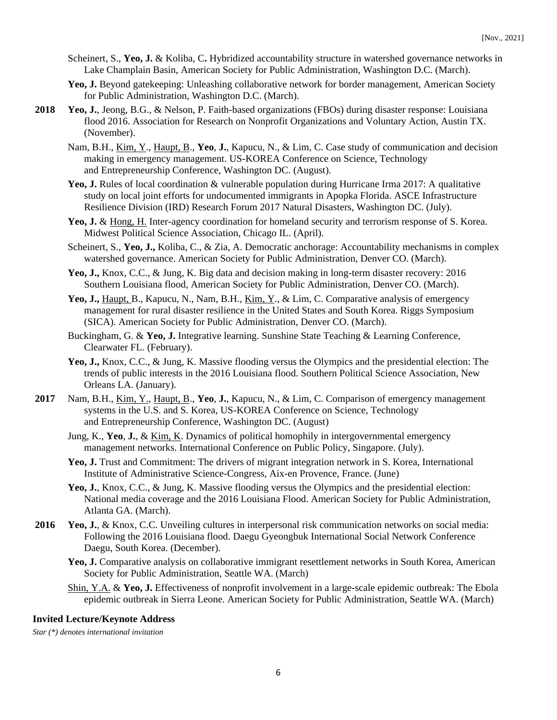- Scheinert, S., **Yeo, J.** & Koliba, C**.** Hybridized accountability structure in watershed governance networks in Lake Champlain Basin, American Society for Public Administration, Washington D.C. (March).
- Yeo, J. Beyond gatekeeping: Unleashing collaborative network for border management, American Society for Public Administration, Washington D.C. (March).
- **2018 Yeo, J.**, Jeong, B.G., & Nelson, P. Faith-based organizations (FBOs) during disaster response: Louisiana flood 2016. Association for Research on Nonprofit Organizations and Voluntary Action, Austin TX. (November).
	- Nam, B.H., Kim, Y., Haupt, B., **Yeo**, **J.**, Kapucu, N., & Lim, C. Case study of communication and decision making in emergency management. US-KOREA Conference on Science, Technology and Entrepreneurship Conference, Washington DC. (August).
	- **Yeo, J.** Rules of local coordination & vulnerable population during Hurricane Irma 2017: A qualitative study on local joint efforts for undocumented immigrants in Apopka Florida. ASCE Infrastructure Resilience Division (IRD) Research Forum 2017 Natural Disasters, Washington DC. (July).
	- **Yeo, J.** & Hong, H. Inter-agency coordination for homeland security and terrorism response of S. Korea. Midwest Political Science Association, Chicago IL. (April).
	- Scheinert, S., **Yeo, J.,** Koliba, C., & Zia, A. Democratic anchorage: Accountability mechanisms in complex watershed governance. American Society for Public Administration, Denver CO. (March).
	- **Yeo, J.,** Knox, C.C., & Jung, K. Big data and decision making in long-term disaster recovery: 2016 Southern Louisiana flood, American Society for Public Administration, Denver CO. (March).
	- Yeo, J., Haupt, B., Kapucu, N., Nam, B.H., <u>Kim, Y., & Lim, C. Comparative analysis</u> of emergency management for rural disaster resilience in the United States and South Korea. Riggs Symposium (SICA). American Society for Public Administration, Denver CO. (March).
	- Buckingham, G. & **Yeo, J.** Integrative learning. Sunshine State Teaching & Learning Conference, Clearwater FL. (February).
	- **Yeo, J.,** Knox, C.C., & Jung, K. Massive flooding versus the Olympics and the presidential election: The trends of public interests in the 2016 Louisiana flood. Southern Political Science Association, New Orleans LA. (January).
- **2017** Nam, B.H., Kim, Y., Haupt, B., **Yeo**, **J.**, Kapucu, N., & Lim, C. Comparison of emergency management systems in the U.S. and S. Korea, US-KOREA Conference on Science, Technology and Entrepreneurship Conference, Washington DC. (August)
	- Jung, K., **Yeo**, **J.**, & Kim, K. Dynamics of political homophily in intergovernmental emergency management networks. International Conference on Public Policy, Singapore. (July).
	- **Yeo, J.** Trust and Commitment: The drivers of migrant integration network in S. Korea, International Institute of Administrative Science-Congress, Aix-en Provence, France. (June)
	- **Yeo, J.**, Knox, C.C., & Jung, K. Massive flooding versus the Olympics and the presidential election: National media coverage and the 2016 Louisiana Flood. American Society for Public Administration, Atlanta GA. (March).
- **2016 Yeo, J.**, & Knox, C.C. Unveiling cultures in interpersonal risk communication networks on social media: Following the 2016 Louisiana flood. Daegu Gyeongbuk International Social Network Conference Daegu, South Korea. (December).
	- **Yeo, J.** Comparative analysis on collaborative immigrant resettlement networks in South Korea, American Society for Public Administration, Seattle WA. (March)
	- Shin, Y.A. & **Yeo, J.** Effectiveness of nonprofit involvement in a large-scale epidemic outbreak: The Ebola epidemic outbreak in Sierra Leone. American Society for Public Administration, Seattle WA. (March)

#### **Invited Lecture/Keynote Address**

*Star (\*) denotes international invitation*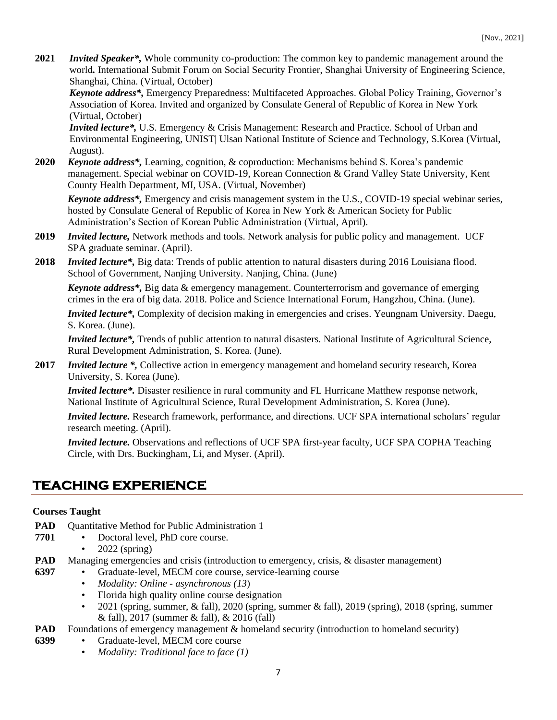**2021** *Invited Speaker\*,* Whole community co-production: The common key to pandemic management around the world*.* International Submit Forum on Social Security Frontier, Shanghai University of Engineering Science, Shanghai, China. (Virtual, October)

*Keynote address\*,* Emergency Preparedness: Multifaceted Approaches. Global Policy Training, Governor's Association of Korea. Invited and organized by Consulate General of Republic of Korea in New York (Virtual, October)

*Invited lecture\*,* U.S. Emergency & Crisis Management: Research and Practice. School of Urban and Environmental Engineering, UNIST| Ulsan National Institute of Science and Technology, S.Korea (Virtual, August).

**2020** *Keynote address\*,* Learning, cognition, & coproduction: Mechanisms behind S. Korea's pandemic management. Special webinar on COVID-19, Korean Connection & Grand Valley State University, Kent County Health Department, MI, USA. (Virtual, November)

*Keynote address\*,* Emergency and crisis management system in the U.S., COVID-19 special webinar series*,*  hosted by Consulate General of Republic of Korea in New York & American Society for Public Administration's Section of Korean Public Administration (Virtual, April).

- **2019** *Invited lecture,* Network methods and tools. Network analysis for public policy and management. UCF SPA graduate seminar. (April).
- **2018** *Invited lecture\*,* Big data: Trends of public attention to natural disasters during 2016 Louisiana flood. School of Government, Nanjing University. Nanjing, China. (June)

*Keynote address\*,* Big data & emergency management. Counterterrorism and governance of emerging crimes in the era of big data. 2018. Police and Science International Forum, Hangzhou, China. (June).

*Invited lecture\*,* Complexity of decision making in emergencies and crises. Yeungnam University. Daegu, S. Korea. (June).

*Invited lecture\*,* Trends of public attention to natural disasters. National Institute of Agricultural Science, Rural Development Administration, S. Korea. (June).

**2017** *Invited lecture \*,* Collective action in emergency management and homeland security research, Korea University, S. Korea (June).

*Invited lecture\*.* Disaster resilience in rural community and FL Hurricane Matthew response network, National Institute of Agricultural Science, Rural Development Administration, S. Korea (June).

*Invited lecture.* Research framework, performance, and directions. UCF SPA international scholars' regular research meeting. (April).

*Invited lecture.* Observations and reflections of UCF SPA first-year faculty, UCF SPA COPHA Teaching Circle, with Drs. Buckingham, Li, and Myser. (April).

## **TEACHING EXPERIENCE**

#### **Courses Taught**

- **PAD** Quantitative Method for Public Administration 1
- **7701** • Doctoral level, PhD core course.
	- 2022 (spring)
- **PAD**  Managing emergencies and crisis (introduction to emergency, crisis, & disaster management)
- **6397** • Graduate-level, MECM core course, service-learning course
	- *Modality: Online - asynchronous (13*)
	- Florida high quality online course designation
	- 2021 (spring, summer,  $\&$  fall), 2020 (spring, summer  $\&$  fall), 2019 (spring), 2018 (spring, summer & fall), 2017 (summer & fall), & 2016 (fall)
- **PAD**  Foundations of emergency management & homeland security (introduction to homeland security)
- **6399**
- Graduate-level, MECM core course • *Modality: Traditional face to face (1)*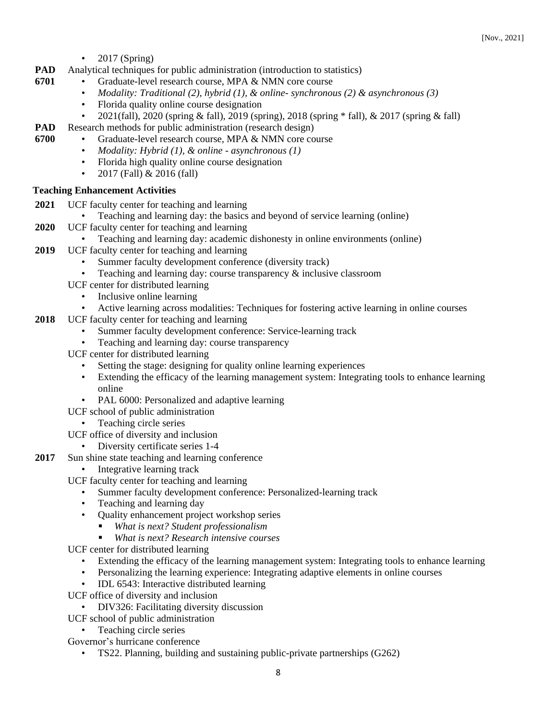• 2017 (Spring)

**6701**

- **PAD**  Analytical techniques for public administration (introduction to statistics)
	- Graduate-level research course, MPA & NMN core course
		- *Modality: Traditional (2), hybrid (1), & online- synchronous (2) & asynchronous (3)*
		- Florida quality online course designation
		- 2021(fall), 2020 (spring & fall), 2019 (spring), 2018 (spring \* fall), & 2017 (spring & fall)
- **PAD**  Research methods for public administration (research design)
- **6700** • Graduate-level research course, MPA & NMN core course
	- *Modality: Hybrid (1), & online - asynchronous (1)*
	- Florida high quality online course designation
	- 2017 (Fall)  $& 2016$  (fall)

#### **Teaching Enhancement Activities**

- **2021** UCF faculty center for teaching and learning
	- Teaching and learning day: the basics and beyond of service learning (online)
- **2020** UCF faculty center for teaching and learning
	- Teaching and learning day: academic dishonesty in online environments (online)
- **2019** UCF faculty center for teaching and learning
	- Summer faculty development conference (diversity track)
	- Teaching and learning day: course transparency  $\&$  inclusive classroom
	- UCF center for distributed learning
		- Inclusive online learning
		- Active learning across modalities: Techniques for fostering active learning in online courses
- **2018** UCF faculty center for teaching and learning
	- Summer faculty development conference: Service-learning track
	- Teaching and learning day: course transparency
	- UCF center for distributed learning
		- Setting the stage: designing for quality online learning experiences
		- Extending the efficacy of the learning management system: Integrating tools to enhance learning online
		- PAL 6000: Personalized and adaptive learning

UCF school of public administration

• Teaching circle series

UCF office of diversity and inclusion

- Diversity certificate series 1-4
- **2017** Sun shine state teaching and learning conference
	- Integrative learning track

UCF faculty center for teaching and learning

- Summer faculty development conference: Personalized-learning track
- Teaching and learning day
- Quality enhancement project workshop series
	- *What is next? Student professionalism*
		- *What is next? Research intensive courses*
- UCF center for distributed learning
	- Extending the efficacy of the learning management system: Integrating tools to enhance learning
	- Personalizing the learning experience: Integrating adaptive elements in online courses
	- IDL 6543: Interactive distributed learning
- UCF office of diversity and inclusion
	- DIV326: Facilitating diversity discussion
- UCF school of public administration
	- Teaching circle series
- Governor's hurricane conference
	- TS22. Planning, building and sustaining public-private partnerships (G262)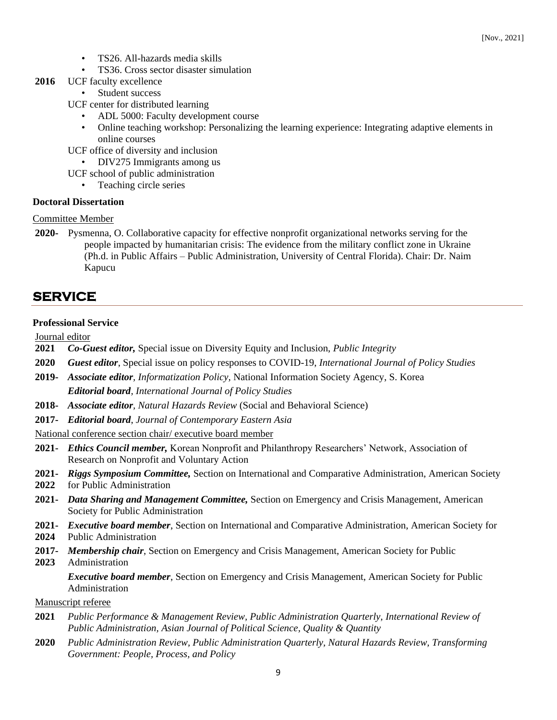- TS26. All-hazards media skills
- TS36. Cross sector disaster simulation
- **2016** UCF faculty excellence
	- Student success
	- UCF center for distributed learning
		- ADL 5000: Faculty development course
		- Online teaching workshop: Personalizing the learning experience: Integrating adaptive elements in online courses
	- UCF office of diversity and inclusion
	- DIV275 Immigrants among us
	- UCF school of public administration
		- Teaching circle series

#### **Doctoral Dissertation**

- Committee Member
- **2020-** Pysmenna, O. Collaborative capacity for effective nonprofit organizational networks serving for the people impacted by humanitarian crisis: The evidence from the military conflict zone in Ukraine (Ph.d. in Public Affairs – Public Administration, University of Central Florida). Chair: Dr. Naim Kapucu

### **SERVICE**

#### **Professional Service**

Journal editor

- **2021** *Co-Guest editor,* Special issue on Diversity Equity and Inclusion, *Public Integrity*
- **2020** *Guest editor*, Special issue on policy responses to COVID-19, *International Journal of Policy Studies*
- **2019-** *Associate editor, Informatization Policy,* National Information Society Agency, S. Korea *Editorial board, International Journal of Policy Studies*
- **2018-** *Associate editor, Natural Hazards Review* (Social and Behavioral Science)
- **2017-** *Editorial board*, *Journal of Contemporary Eastern Asia*

National conference section chair/ executive board member

- **2021-** *Ethics Council member,* Korean Nonprofit and Philanthropy Researchers' Network, Association of Research on Nonprofit and Voluntary Action
- **2021-** *Riggs Symposium Committee,* Section on International and Comparative Administration, American Society
- **2022** for Public Administration
- **2021-** *Data Sharing and Management Committee,* Section on Emergency and Crisis Management, American Society for Public Administration
- **2021-** *Executive board member*, Section on International and Comparative Administration, American Society for
- **2024** Public Administration
- **2017-** *Membership chair*, Section on Emergency and Crisis Management, American Society for Public
- **2023** Administration

*Executive board member*, Section on Emergency and Crisis Management, American Society for Public Administration

#### Manuscript referee

- **2021** *Public Performance & Management Review, Public Administration Quarterly, International Review of Public Administration, Asian Journal of Political Science, Quality & Quantity*
- **2020** *Public Administration Review, Public Administration Quarterly, Natural Hazards Review, Transforming Government: People, Process, and Policy*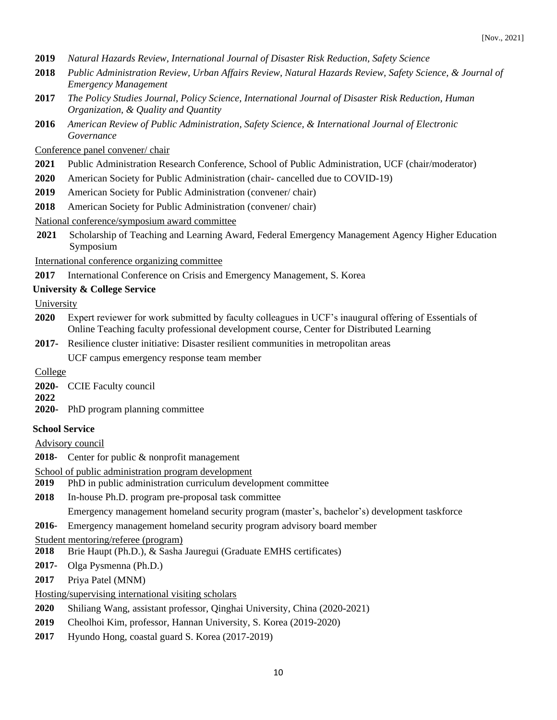- **2019** *Natural Hazards Review, International Journal of Disaster Risk Reduction, Safety Science*
- **2018** *Public Administration Review, Urban Affairs Review, Natural Hazards Review, Safety Science, & Journal of Emergency Management*
- **2017** *The Policy Studies Journal, Policy Science, International Journal of Disaster Risk Reduction, Human Organization, & Quality and Quantity*
- **2016** *American Review of Public Administration, Safety Science, & International Journal of Electronic Governance*

#### Conference panel convener/ chair

- **2021** Public Administration Research Conference, School of Public Administration, UCF (chair/moderator)
- **2020** American Society for Public Administration (chair- cancelled due to COVID-19)
- **2019** American Society for Public Administration (convener/ chair)
- **2018** American Society for Public Administration (convener/ chair)

#### National conference/symposium award committee

**2021** Scholarship of Teaching and Learning Award, Federal Emergency Management Agency Higher Education Symposium

International conference organizing committee

**2017** • International Conference on Crisis and Emergency Management, S. Korea

#### **University & College Service**

University

- **2020** Expert reviewer for work submitted by faculty colleagues in UCF's inaugural offering of Essentials of Online Teaching faculty professional development course, Center for Distributed Learning
- **2017-** Resilience cluster initiative: Disaster resilient communities in metropolitan areas

UCF campus emergency response team member

#### College

**2020-** CCIE Faculty council

#### **2022**

**2020-** PhD program planning committee

#### **School Service**

Advisory council

- **2018-** Center for public & nonprofit management
- School of public administration program development
- **2019** PhD in public administration curriculum development committee
- **2018** In-house Ph.D. program pre-proposal task committee

Emergency management homeland security program (master's, bachelor's) development taskforce

**2016-** Emergency management homeland security program advisory board member

Student mentoring/referee (program)

- **2018** Brie Haupt (Ph.D.), & Sasha Jauregui (Graduate EMHS certificates)
- **2017-** Olga Pysmenna (Ph.D.)
- **2017** Priya Patel (MNM)

#### Hosting/supervising international visiting scholars

- **2020** Shiliang Wang, assistant professor, Qinghai University, China (2020-2021)
- **2019** Cheolhoi Kim, professor, Hannan University, S. Korea (2019-2020)
- **2017** Hyundo Hong, coastal guard S. Korea (2017-2019)